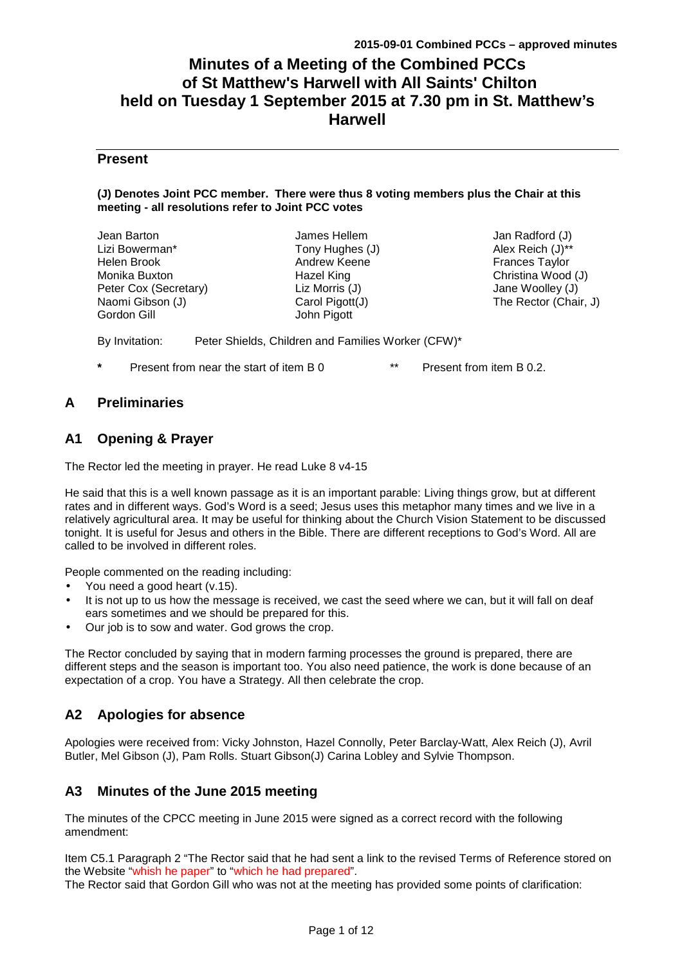# **Minutes of a Meeting of the Combined PCCs of St Matthew's Harwell with All Saints' Chilton held on Tuesday 1 September 2015 at 7.30 pm in St. Matthew's Harwell**

## **Present**

#### **(J) Denotes Joint PCC member. There were thus 8 voting members plus the Chair at this meeting - all resolutions refer to Joint PCC votes**

| Jean Barton           | James Hellem    | Jan Radford (J)       |
|-----------------------|-----------------|-----------------------|
| Lizi Bowerman*        | Tony Hughes (J) | Alex Reich (J)**      |
| Helen Brook           | Andrew Keene    | <b>Frances Taylor</b> |
| Monika Buxton         | Hazel King      | Christina Wood (J)    |
| Peter Cox (Secretary) | Liz Morris (J)  | Jane Woolley (J)      |
| Naomi Gibson (J)      | Carol Pigott(J) | The Rector (Chair, J) |
| Gordon Gill           | John Pigott     |                       |
|                       |                 |                       |

By Invitation: Peter Shields, Children and Families Worker (CFW)\*

**Present from near the start of item B 0 \*\* Present from item B 0.2.** 

# **A Preliminaries**

# **A1 Opening & Prayer**

The Rector led the meeting in prayer. He read Luke 8 v4-15

He said that this is a well known passage as it is an important parable: Living things grow, but at different rates and in different ways. God's Word is a seed; Jesus uses this metaphor many times and we live in a relatively agricultural area. It may be useful for thinking about the Church Vision Statement to be discussed tonight. It is useful for Jesus and others in the Bible. There are different receptions to God's Word. All are called to be involved in different roles.

People commented on the reading including:

- You need a good heart (v.15).
- It is not up to us how the message is received, we cast the seed where we can, but it will fall on deaf ears sometimes and we should be prepared for this.
- Our job is to sow and water. God grows the crop.

The Rector concluded by saying that in modern farming processes the ground is prepared, there are different steps and the season is important too. You also need patience, the work is done because of an expectation of a crop. You have a Strategy. All then celebrate the crop.

# **A2 Apologies for absence**

Apologies were received from: Vicky Johnston, Hazel Connolly, Peter Barclay-Watt, Alex Reich (J), Avril Butler, Mel Gibson (J), Pam Rolls. Stuart Gibson(J) Carina Lobley and Sylvie Thompson.

# **A3 Minutes of the June 2015 meeting**

The minutes of the CPCC meeting in June 2015 were signed as a correct record with the following amendment:

Item C5.1 Paragraph 2 "The Rector said that he had sent a link to the revised Terms of Reference stored on the Website "whish he paper" to "which he had prepared".

The Rector said that Gordon Gill who was not at the meeting has provided some points of clarification: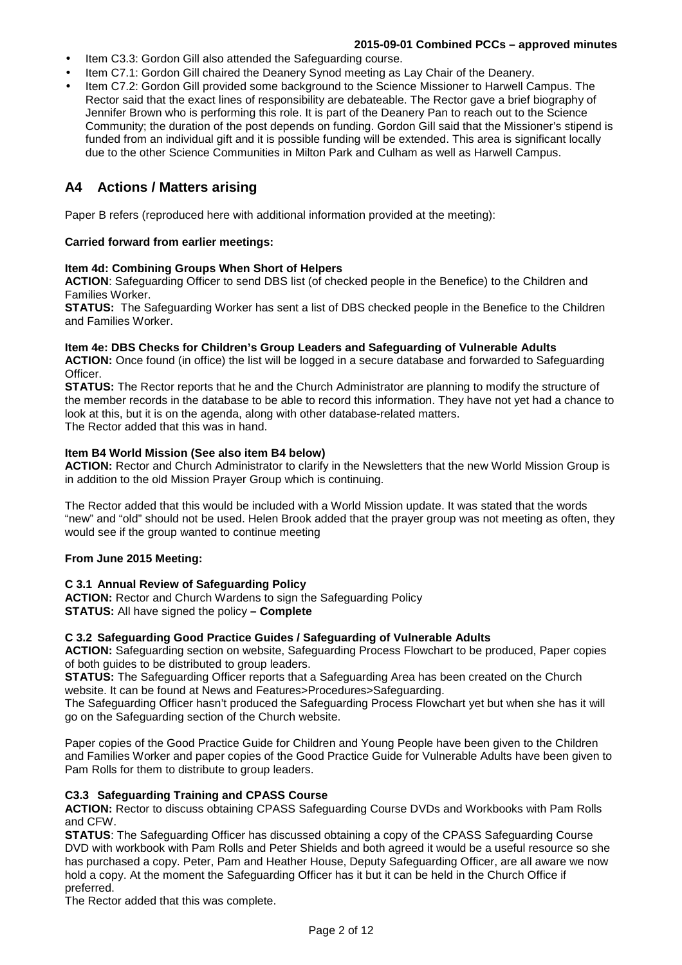- Item C3.3: Gordon Gill also attended the Safeguarding course.
- Item C7.1: Gordon Gill chaired the Deanery Synod meeting as Lay Chair of the Deanery.
- Item C7.2: Gordon Gill provided some background to the Science Missioner to Harwell Campus. The Rector said that the exact lines of responsibility are debateable. The Rector gave a brief biography of Jennifer Brown who is performing this role. It is part of the Deanery Pan to reach out to the Science Community; the duration of the post depends on funding. Gordon Gill said that the Missioner's stipend is funded from an individual gift and it is possible funding will be extended. This area is significant locally due to the other Science Communities in Milton Park and Culham as well as Harwell Campus.

# **A4 Actions / Matters arising**

Paper B refers (reproduced here with additional information provided at the meeting):

### **Carried forward from earlier meetings:**

#### **Item 4d: Combining Groups When Short of Helpers**

**ACTION**: Safeguarding Officer to send DBS list (of checked people in the Benefice) to the Children and Families Worker.

**STATUS:** The Safeguarding Worker has sent a list of DBS checked people in the Benefice to the Children and Families Worker.

#### **Item 4e: DBS Checks for Children's Group Leaders and Safeguarding of Vulnerable Adults**

**ACTION:** Once found (in office) the list will be logged in a secure database and forwarded to Safeguarding Officer.

**STATUS:** The Rector reports that he and the Church Administrator are planning to modify the structure of the member records in the database to be able to record this information. They have not yet had a chance to look at this, but it is on the agenda, along with other database-related matters. The Rector added that this was in hand.

#### **Item B4 World Mission (See also item B4 below)**

**ACTION:** Rector and Church Administrator to clarify in the Newsletters that the new World Mission Group is in addition to the old Mission Prayer Group which is continuing.

The Rector added that this would be included with a World Mission update. It was stated that the words "new" and "old" should not be used. Helen Brook added that the prayer group was not meeting as often, they would see if the group wanted to continue meeting

### **From June 2015 Meeting:**

### **C 3.1 Annual Review of Safeguarding Policy**

**ACTION:** Rector and Church Wardens to sign the Safeguarding Policy **STATUS:** All have signed the policy **– Complete** 

### **C 3.2 Safeguarding Good Practice Guides / Safeguarding of Vulnerable Adults**

**ACTION:** Safeguarding section on website, Safeguarding Process Flowchart to be produced, Paper copies of both guides to be distributed to group leaders.

**STATUS:** The Safeguarding Officer reports that a Safeguarding Area has been created on the Church website. It can be found at News and Features>Procedures>Safeguarding.

The Safeguarding Officer hasn't produced the Safeguarding Process Flowchart yet but when she has it will go on the Safeguarding section of the Church website.

Paper copies of the Good Practice Guide for Children and Young People have been given to the Children and Families Worker and paper copies of the Good Practice Guide for Vulnerable Adults have been given to Pam Rolls for them to distribute to group leaders.

### **C3.3 Safeguarding Training and CPASS Course**

**ACTION:** Rector to discuss obtaining CPASS Safeguarding Course DVDs and Workbooks with Pam Rolls and CFW.

**STATUS**: The Safeguarding Officer has discussed obtaining a copy of the CPASS Safeguarding Course DVD with workbook with Pam Rolls and Peter Shields and both agreed it would be a useful resource so she has purchased a copy. Peter, Pam and Heather House, Deputy Safeguarding Officer, are all aware we now hold a copy. At the moment the Safeguarding Officer has it but it can be held in the Church Office if preferred.

The Rector added that this was complete.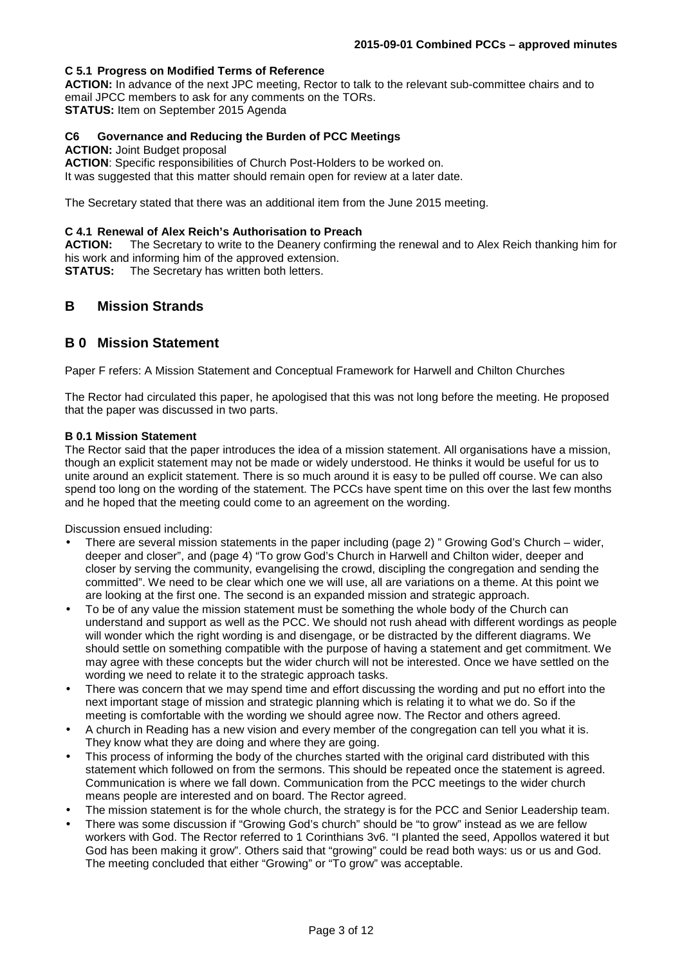## **C 5.1 Progress on Modified Terms of Reference**

**ACTION:** In advance of the next JPC meeting, Rector to talk to the relevant sub-committee chairs and to email JPCC members to ask for any comments on the TORs. **STATUS:** Item on September 2015 Agenda

## **C6 Governance and Reducing the Burden of PCC Meetings**

#### **ACTION: Joint Budget proposal**

**ACTION**: Specific responsibilities of Church Post-Holders to be worked on. It was suggested that this matter should remain open for review at a later date.

The Secretary stated that there was an additional item from the June 2015 meeting.

#### **C 4.1 Renewal of Alex Reich's Authorisation to Preach**

**ACTION:** The Secretary to write to the Deanery confirming the renewal and to Alex Reich thanking him for his work and informing him of the approved extension.

**STATUS:** The Secretary has written both letters.

# **B Mission Strands**

# **B 0 Mission Statement**

Paper F refers: A Mission Statement and Conceptual Framework for Harwell and Chilton Churches

The Rector had circulated this paper, he apologised that this was not long before the meeting. He proposed that the paper was discussed in two parts.

#### **B 0.1 Mission Statement**

The Rector said that the paper introduces the idea of a mission statement. All organisations have a mission, though an explicit statement may not be made or widely understood. He thinks it would be useful for us to unite around an explicit statement. There is so much around it is easy to be pulled off course. We can also spend too long on the wording of the statement. The PCCs have spent time on this over the last few months and he hoped that the meeting could come to an agreement on the wording.

Discussion ensued including:

- There are several mission statements in the paper including (page 2) " Growing God's Church wider, deeper and closer", and (page 4) "To grow God's Church in Harwell and Chilton wider, deeper and closer by serving the community, evangelising the crowd, discipling the congregation and sending the committed". We need to be clear which one we will use, all are variations on a theme. At this point we are looking at the first one. The second is an expanded mission and strategic approach.
- To be of any value the mission statement must be something the whole body of the Church can understand and support as well as the PCC. We should not rush ahead with different wordings as people will wonder which the right wording is and disengage, or be distracted by the different diagrams. We should settle on something compatible with the purpose of having a statement and get commitment. We may agree with these concepts but the wider church will not be interested. Once we have settled on the wording we need to relate it to the strategic approach tasks.
- There was concern that we may spend time and effort discussing the wording and put no effort into the next important stage of mission and strategic planning which is relating it to what we do. So if the meeting is comfortable with the wording we should agree now. The Rector and others agreed.
- A church in Reading has a new vision and every member of the congregation can tell you what it is. They know what they are doing and where they are going.
- This process of informing the body of the churches started with the original card distributed with this statement which followed on from the sermons. This should be repeated once the statement is agreed. Communication is where we fall down. Communication from the PCC meetings to the wider church means people are interested and on board. The Rector agreed.
- The mission statement is for the whole church, the strategy is for the PCC and Senior Leadership team.
- There was some discussion if "Growing God's church" should be "to grow" instead as we are fellow workers with God. The Rector referred to 1 Corinthians 3v6. "I planted the seed, Appollos watered it but God has been making it grow". Others said that "growing" could be read both ways: us or us and God. The meeting concluded that either "Growing" or "To grow" was acceptable.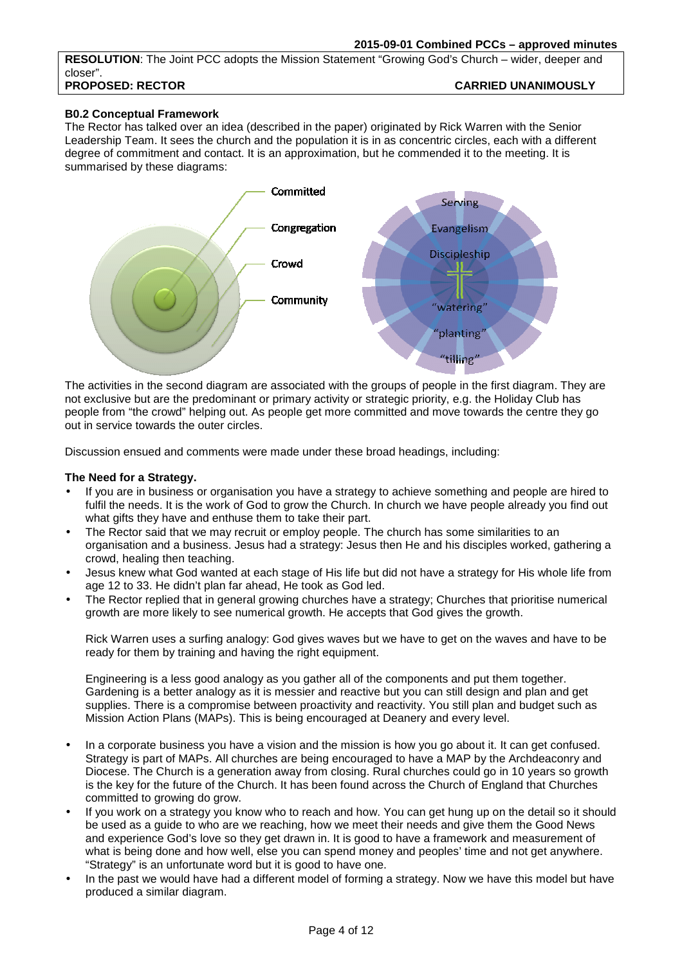**RESOLUTION**: The Joint PCC adopts the Mission Statement "Growing God's Church – wider, deeper and closer". **PROPOSED: RECTOR CARRIED UNANIMOUSLY** 

## **B0.2 Conceptual Framework**

The Rector has talked over an idea (described in the paper) originated by Rick Warren with the Senior Leadership Team. It sees the church and the population it is in as concentric circles, each with a different degree of commitment and contact. It is an approximation, but he commended it to the meeting. It is summarised by these diagrams:



The activities in the second diagram are associated with the groups of people in the first diagram. They are not exclusive but are the predominant or primary activity or strategic priority, e.g. the Holiday Club has people from "the crowd" helping out. As people get more committed and move towards the centre they go out in service towards the outer circles.

Discussion ensued and comments were made under these broad headings, including:

#### **The Need for a Strategy.**

- If you are in business or organisation you have a strategy to achieve something and people are hired to fulfil the needs. It is the work of God to grow the Church. In church we have people already you find out what gifts they have and enthuse them to take their part.
- The Rector said that we may recruit or employ people. The church has some similarities to an organisation and a business. Jesus had a strategy: Jesus then He and his disciples worked, gathering a crowd, healing then teaching.
- Jesus knew what God wanted at each stage of His life but did not have a strategy for His whole life from age 12 to 33. He didn't plan far ahead, He took as God led.
- The Rector replied that in general growing churches have a strategy; Churches that prioritise numerical growth are more likely to see numerical growth. He accepts that God gives the growth.

Rick Warren uses a surfing analogy: God gives waves but we have to get on the waves and have to be ready for them by training and having the right equipment.

Engineering is a less good analogy as you gather all of the components and put them together. Gardening is a better analogy as it is messier and reactive but you can still design and plan and get supplies. There is a compromise between proactivity and reactivity. You still plan and budget such as Mission Action Plans (MAPs). This is being encouraged at Deanery and every level.

- In a corporate business you have a vision and the mission is how you go about it. It can get confused. Strategy is part of MAPs. All churches are being encouraged to have a MAP by the Archdeaconry and Diocese. The Church is a generation away from closing. Rural churches could go in 10 years so growth is the key for the future of the Church. It has been found across the Church of England that Churches committed to growing do grow.
- If you work on a strategy you know who to reach and how. You can get hung up on the detail so it should be used as a guide to who are we reaching, how we meet their needs and give them the Good News and experience God's love so they get drawn in. It is good to have a framework and measurement of what is being done and how well, else you can spend money and peoples' time and not get anywhere. "Strategy" is an unfortunate word but it is good to have one.
- In the past we would have had a different model of forming a strategy. Now we have this model but have produced a similar diagram.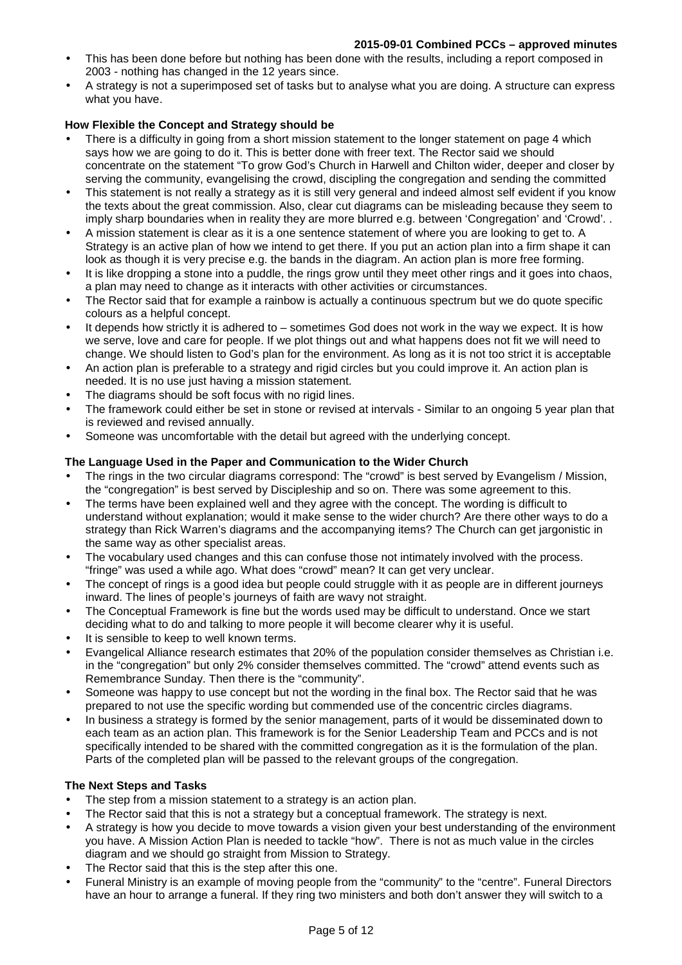- This has been done before but nothing has been done with the results, including a report composed in 2003 - nothing has changed in the 12 years since.
- A strategy is not a superimposed set of tasks but to analyse what you are doing. A structure can express what you have.

## **How Flexible the Concept and Strategy should be**

- There is a difficulty in going from a short mission statement to the longer statement on page 4 which says how we are going to do it. This is better done with freer text. The Rector said we should concentrate on the statement "To grow God's Church in Harwell and Chilton wider, deeper and closer by serving the community, evangelising the crowd, discipling the congregation and sending the committed
- This statement is not really a strategy as it is still very general and indeed almost self evident if you know the texts about the great commission. Also, clear cut diagrams can be misleading because they seem to imply sharp boundaries when in reality they are more blurred e.g. between 'Congregation' and 'Crowd'. .
- A mission statement is clear as it is a one sentence statement of where you are looking to get to. A Strategy is an active plan of how we intend to get there. If you put an action plan into a firm shape it can look as though it is very precise e.g. the bands in the diagram. An action plan is more free forming.
- It is like dropping a stone into a puddle, the rings grow until they meet other rings and it goes into chaos, a plan may need to change as it interacts with other activities or circumstances.
- The Rector said that for example a rainbow is actually a continuous spectrum but we do quote specific colours as a helpful concept.
- It depends how strictly it is adhered to sometimes God does not work in the way we expect. It is how we serve, love and care for people. If we plot things out and what happens does not fit we will need to change. We should listen to God's plan for the environment. As long as it is not too strict it is acceptable
- An action plan is preferable to a strategy and rigid circles but you could improve it. An action plan is needed. It is no use just having a mission statement.
- The diagrams should be soft focus with no rigid lines.
- The framework could either be set in stone or revised at intervals Similar to an ongoing 5 year plan that is reviewed and revised annually.
- Someone was uncomfortable with the detail but agreed with the underlying concept.

## **The Language Used in the Paper and Communication to the Wider Church**

- The rings in the two circular diagrams correspond: The "crowd" is best served by Evangelism / Mission, the "congregation" is best served by Discipleship and so on. There was some agreement to this.
- The terms have been explained well and they agree with the concept. The wording is difficult to understand without explanation; would it make sense to the wider church? Are there other ways to do a strategy than Rick Warren's diagrams and the accompanying items? The Church can get jargonistic in the same way as other specialist areas.
- The vocabulary used changes and this can confuse those not intimately involved with the process. "fringe" was used a while ago. What does "crowd" mean? It can get very unclear.
- The concept of rings is a good idea but people could struggle with it as people are in different journeys inward. The lines of people's journeys of faith are wavy not straight.
- The Conceptual Framework is fine but the words used may be difficult to understand. Once we start deciding what to do and talking to more people it will become clearer why it is useful.
- It is sensible to keep to well known terms.
- Evangelical Alliance research estimates that 20% of the population consider themselves as Christian i.e. in the "congregation" but only 2% consider themselves committed. The "crowd" attend events such as Remembrance Sunday. Then there is the "community".
- Someone was happy to use concept but not the wording in the final box. The Rector said that he was prepared to not use the specific wording but commended use of the concentric circles diagrams.
- In business a strategy is formed by the senior management, parts of it would be disseminated down to each team as an action plan. This framework is for the Senior Leadership Team and PCCs and is not specifically intended to be shared with the committed congregation as it is the formulation of the plan. Parts of the completed plan will be passed to the relevant groups of the congregation.

### **The Next Steps and Tasks**

- The step from a mission statement to a strategy is an action plan.
- The Rector said that this is not a strategy but a conceptual framework. The strategy is next.
- A strategy is how you decide to move towards a vision given your best understanding of the environment you have. A Mission Action Plan is needed to tackle "how". There is not as much value in the circles diagram and we should go straight from Mission to Strategy.
- The Rector said that this is the step after this one.
- Funeral Ministry is an example of moving people from the "community" to the "centre". Funeral Directors have an hour to arrange a funeral. If they ring two ministers and both don't answer they will switch to a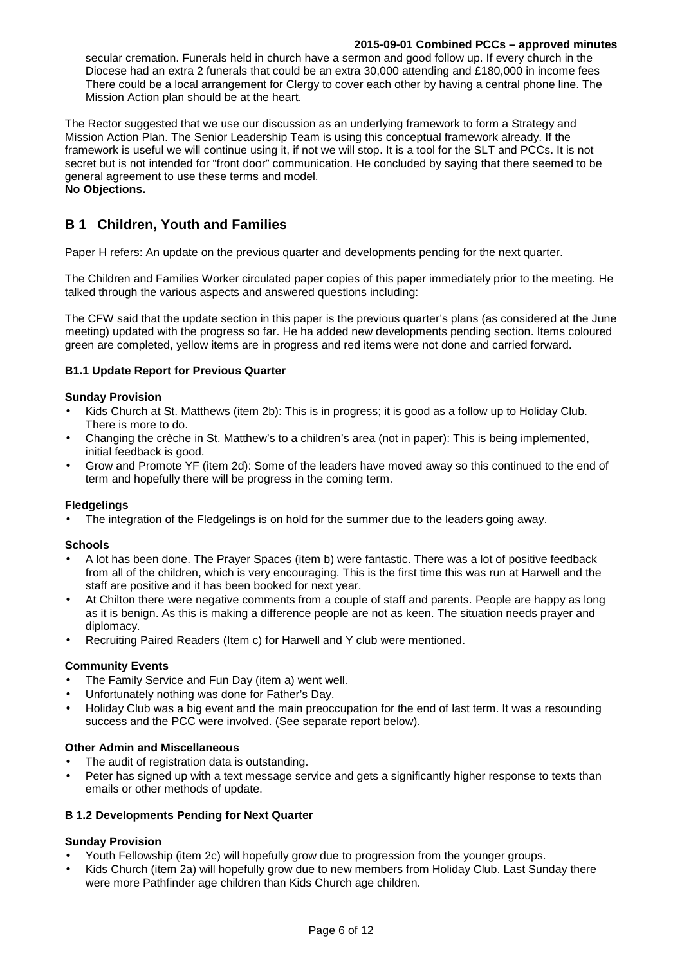secular cremation. Funerals held in church have a sermon and good follow up. If every church in the Diocese had an extra 2 funerals that could be an extra 30,000 attending and £180,000 in income fees There could be a local arrangement for Clergy to cover each other by having a central phone line. The Mission Action plan should be at the heart.

The Rector suggested that we use our discussion as an underlying framework to form a Strategy and Mission Action Plan. The Senior Leadership Team is using this conceptual framework already. If the framework is useful we will continue using it, if not we will stop. It is a tool for the SLT and PCCs. It is not secret but is not intended for "front door" communication. He concluded by saying that there seemed to be general agreement to use these terms and model. **No Objections.** 

# **B 1 Children, Youth and Families**

Paper H refers: An update on the previous quarter and developments pending for the next quarter.

The Children and Families Worker circulated paper copies of this paper immediately prior to the meeting. He talked through the various aspects and answered questions including:

The CFW said that the update section in this paper is the previous quarter's plans (as considered at the June meeting) updated with the progress so far. He ha added new developments pending section. Items coloured green are completed, yellow items are in progress and red items were not done and carried forward.

### **B1.1 Update Report for Previous Quarter**

#### **Sunday Provision**

- Kids Church at St. Matthews (item 2b): This is in progress; it is good as a follow up to Holiday Club. There is more to do.
- Changing the crèche in St. Matthew's to a children's area (not in paper): This is being implemented, initial feedback is good.
- Grow and Promote YF (item 2d): Some of the leaders have moved away so this continued to the end of term and hopefully there will be progress in the coming term.

#### **Fledgelings**

The integration of the Fledgelings is on hold for the summer due to the leaders going away.

#### **Schools**

- A lot has been done. The Prayer Spaces (item b) were fantastic. There was a lot of positive feedback from all of the children, which is very encouraging. This is the first time this was run at Harwell and the staff are positive and it has been booked for next year.
- At Chilton there were negative comments from a couple of staff and parents. People are happy as long as it is benign. As this is making a difference people are not as keen. The situation needs prayer and diplomacy.
- Recruiting Paired Readers (Item c) for Harwell and Y club were mentioned.

#### **Community Events**

- The Family Service and Fun Day (item a) went well.
- Unfortunately nothing was done for Father's Day.
- Holiday Club was a big event and the main preoccupation for the end of last term. It was a resounding success and the PCC were involved. (See separate report below).

#### **Other Admin and Miscellaneous**

- The audit of registration data is outstanding.
- Peter has signed up with a text message service and gets a significantly higher response to texts than emails or other methods of update.

#### **B 1.2 Developments Pending for Next Quarter**

#### **Sunday Provision**

- Youth Fellowship (item 2c) will hopefully grow due to progression from the younger groups.
- Kids Church (item 2a) will hopefully grow due to new members from Holiday Club. Last Sunday there were more Pathfinder age children than Kids Church age children.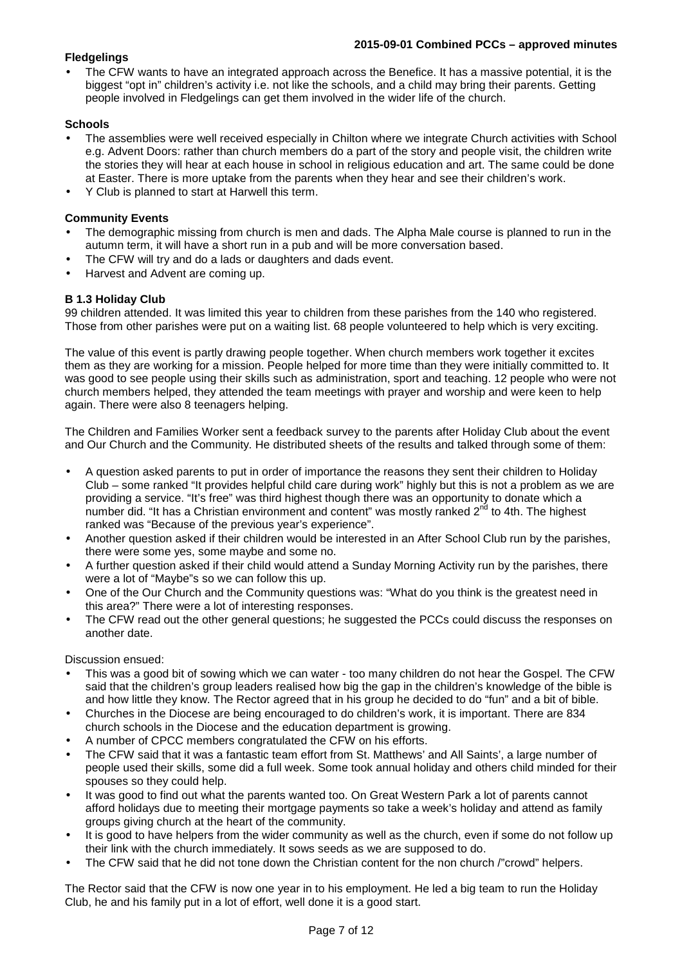## **Fledgelings**

• The CFW wants to have an integrated approach across the Benefice. It has a massive potential, it is the biggest "opt in" children's activity i.e. not like the schools, and a child may bring their parents. Getting people involved in Fledgelings can get them involved in the wider life of the church.

### **Schools**

- The assemblies were well received especially in Chilton where we integrate Church activities with School e.g. Advent Doors: rather than church members do a part of the story and people visit, the children write the stories they will hear at each house in school in religious education and art. The same could be done at Easter. There is more uptake from the parents when they hear and see their children's work.
- Y Club is planned to start at Harwell this term.

## **Community Events**

- The demographic missing from church is men and dads. The Alpha Male course is planned to run in the autumn term, it will have a short run in a pub and will be more conversation based.
- The CFW will try and do a lads or daughters and dads event.
- Harvest and Advent are coming up.

## **B 1.3 Holiday Club**

99 children attended. It was limited this year to children from these parishes from the 140 who registered. Those from other parishes were put on a waiting list. 68 people volunteered to help which is very exciting.

The value of this event is partly drawing people together. When church members work together it excites them as they are working for a mission. People helped for more time than they were initially committed to. It was good to see people using their skills such as administration, sport and teaching. 12 people who were not church members helped, they attended the team meetings with prayer and worship and were keen to help again. There were also 8 teenagers helping.

The Children and Families Worker sent a feedback survey to the parents after Holiday Club about the event and Our Church and the Community. He distributed sheets of the results and talked through some of them:

- A question asked parents to put in order of importance the reasons they sent their children to Holiday Club – some ranked "It provides helpful child care during work" highly but this is not a problem as we are providing a service. "It's free" was third highest though there was an opportunity to donate which a number did. "It has a Christian environment and content" was mostly ranked  $2<sup>nd</sup>$  to 4th. The highest ranked was "Because of the previous year's experience".
- Another question asked if their children would be interested in an After School Club run by the parishes, there were some yes, some maybe and some no.
- A further question asked if their child would attend a Sunday Morning Activity run by the parishes, there were a lot of "Maybe"s so we can follow this up.
- One of the Our Church and the Community questions was: "What do you think is the greatest need in this area?" There were a lot of interesting responses.
- The CFW read out the other general questions; he suggested the PCCs could discuss the responses on another date.

Discussion ensued:

- This was a good bit of sowing which we can water too many children do not hear the Gospel. The CFW said that the children's group leaders realised how big the gap in the children's knowledge of the bible is and how little they know. The Rector agreed that in his group he decided to do "fun" and a bit of bible.
- Churches in the Diocese are being encouraged to do children's work, it is important. There are 834 church schools in the Diocese and the education department is growing.
- A number of CPCC members congratulated the CFW on his efforts.
- The CFW said that it was a fantastic team effort from St. Matthews' and All Saints', a large number of people used their skills, some did a full week. Some took annual holiday and others child minded for their spouses so they could help.
- It was good to find out what the parents wanted too. On Great Western Park a lot of parents cannot afford holidays due to meeting their mortgage payments so take a week's holiday and attend as family groups giving church at the heart of the community.
- It is good to have helpers from the wider community as well as the church, even if some do not follow up their link with the church immediately. It sows seeds as we are supposed to do.
- The CFW said that he did not tone down the Christian content for the non church /"crowd" helpers.

The Rector said that the CFW is now one year in to his employment. He led a big team to run the Holiday Club, he and his family put in a lot of effort, well done it is a good start.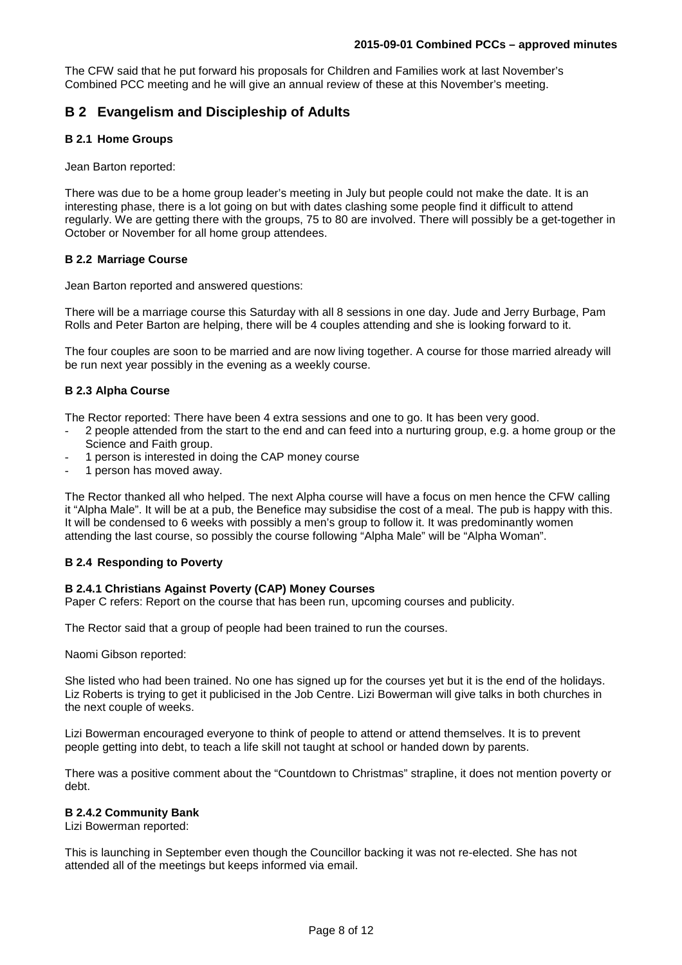The CFW said that he put forward his proposals for Children and Families work at last November's Combined PCC meeting and he will give an annual review of these at this November's meeting.

# **B 2 Evangelism and Discipleship of Adults**

## **B 2.1 Home Groups**

Jean Barton reported:

There was due to be a home group leader's meeting in July but people could not make the date. It is an interesting phase, there is a lot going on but with dates clashing some people find it difficult to attend regularly. We are getting there with the groups, 75 to 80 are involved. There will possibly be a get-together in October or November for all home group attendees.

### **B 2.2 Marriage Course**

Jean Barton reported and answered questions:

There will be a marriage course this Saturday with all 8 sessions in one day. Jude and Jerry Burbage, Pam Rolls and Peter Barton are helping, there will be 4 couples attending and she is looking forward to it.

The four couples are soon to be married and are now living together. A course for those married already will be run next year possibly in the evening as a weekly course.

## **B 2.3 Alpha Course**

The Rector reported: There have been 4 extra sessions and one to go. It has been very good.

- 2 people attended from the start to the end and can feed into a nurturing group, e.g. a home group or the Science and Faith group.
- 1 person is interested in doing the CAP money course
- 1 person has moved away.

The Rector thanked all who helped. The next Alpha course will have a focus on men hence the CFW calling it "Alpha Male". It will be at a pub, the Benefice may subsidise the cost of a meal. The pub is happy with this. It will be condensed to 6 weeks with possibly a men's group to follow it. It was predominantly women attending the last course, so possibly the course following "Alpha Male" will be "Alpha Woman".

### **B 2.4 Responding to Poverty**

### **B 2.4.1 Christians Against Poverty (CAP) Money Courses**

Paper C refers: Report on the course that has been run, upcoming courses and publicity.

The Rector said that a group of people had been trained to run the courses.

Naomi Gibson reported:

She listed who had been trained. No one has signed up for the courses yet but it is the end of the holidays. Liz Roberts is trying to get it publicised in the Job Centre. Lizi Bowerman will give talks in both churches in the next couple of weeks.

Lizi Bowerman encouraged everyone to think of people to attend or attend themselves. It is to prevent people getting into debt, to teach a life skill not taught at school or handed down by parents.

There was a positive comment about the "Countdown to Christmas" strapline, it does not mention poverty or debt.

#### **B 2.4.2 Community Bank**

Lizi Bowerman reported:

This is launching in September even though the Councillor backing it was not re-elected. She has not attended all of the meetings but keeps informed via email.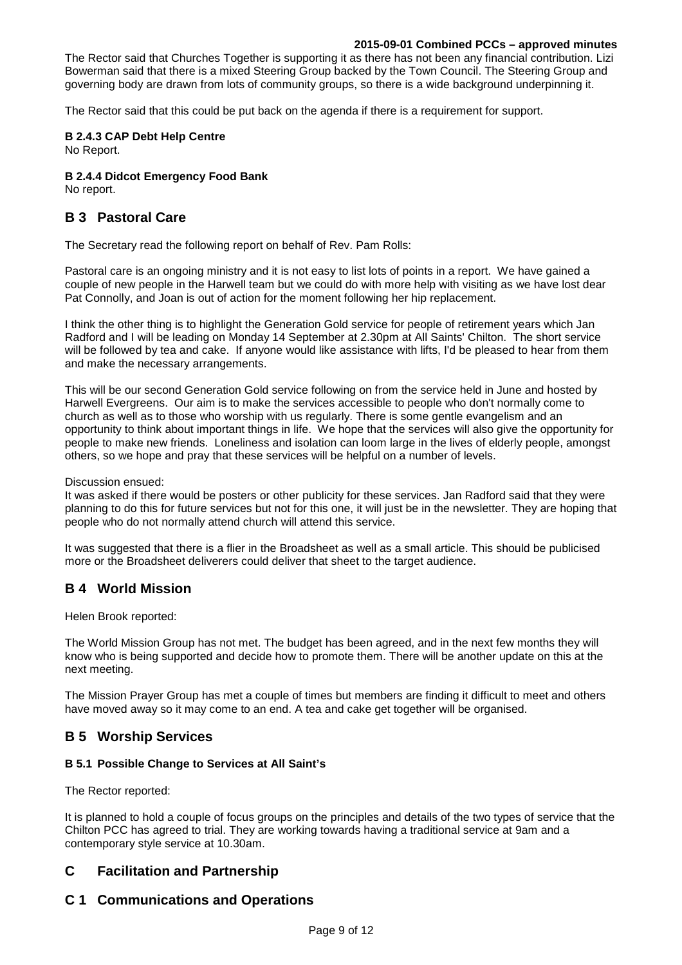The Rector said that Churches Together is supporting it as there has not been any financial contribution. Lizi Bowerman said that there is a mixed Steering Group backed by the Town Council. The Steering Group and governing body are drawn from lots of community groups, so there is a wide background underpinning it.

The Rector said that this could be put back on the agenda if there is a requirement for support.

#### **B 2.4.3 CAP Debt Help Centre**

No Report.

#### **B 2.4.4 Didcot Emergency Food Bank**

No report.

# **B 3 Pastoral Care**

The Secretary read the following report on behalf of Rev. Pam Rolls:

Pastoral care is an ongoing ministry and it is not easy to list lots of points in a report. We have gained a couple of new people in the Harwell team but we could do with more help with visiting as we have lost dear Pat Connolly, and Joan is out of action for the moment following her hip replacement.

I think the other thing is to highlight the Generation Gold service for people of retirement years which Jan Radford and I will be leading on Monday 14 September at 2.30pm at All Saints' Chilton. The short service will be followed by tea and cake. If anyone would like assistance with lifts, I'd be pleased to hear from them and make the necessary arrangements.

This will be our second Generation Gold service following on from the service held in June and hosted by Harwell Evergreens. Our aim is to make the services accessible to people who don't normally come to church as well as to those who worship with us regularly. There is some gentle evangelism and an opportunity to think about important things in life. We hope that the services will also give the opportunity for people to make new friends. Loneliness and isolation can loom large in the lives of elderly people, amongst others, so we hope and pray that these services will be helpful on a number of levels.

Discussion ensued:

It was asked if there would be posters or other publicity for these services. Jan Radford said that they were planning to do this for future services but not for this one, it will just be in the newsletter. They are hoping that people who do not normally attend church will attend this service.

It was suggested that there is a flier in the Broadsheet as well as a small article. This should be publicised more or the Broadsheet deliverers could deliver that sheet to the target audience.

# **B 4 World Mission**

Helen Brook reported:

The World Mission Group has not met. The budget has been agreed, and in the next few months they will know who is being supported and decide how to promote them. There will be another update on this at the next meeting.

The Mission Prayer Group has met a couple of times but members are finding it difficult to meet and others have moved away so it may come to an end. A tea and cake get together will be organised.

# **B 5 Worship Services**

#### **B 5.1 Possible Change to Services at All Saint's**

The Rector reported:

It is planned to hold a couple of focus groups on the principles and details of the two types of service that the Chilton PCC has agreed to trial. They are working towards having a traditional service at 9am and a contemporary style service at 10.30am.

# **C Facilitation and Partnership**

# **C 1 Communications and Operations**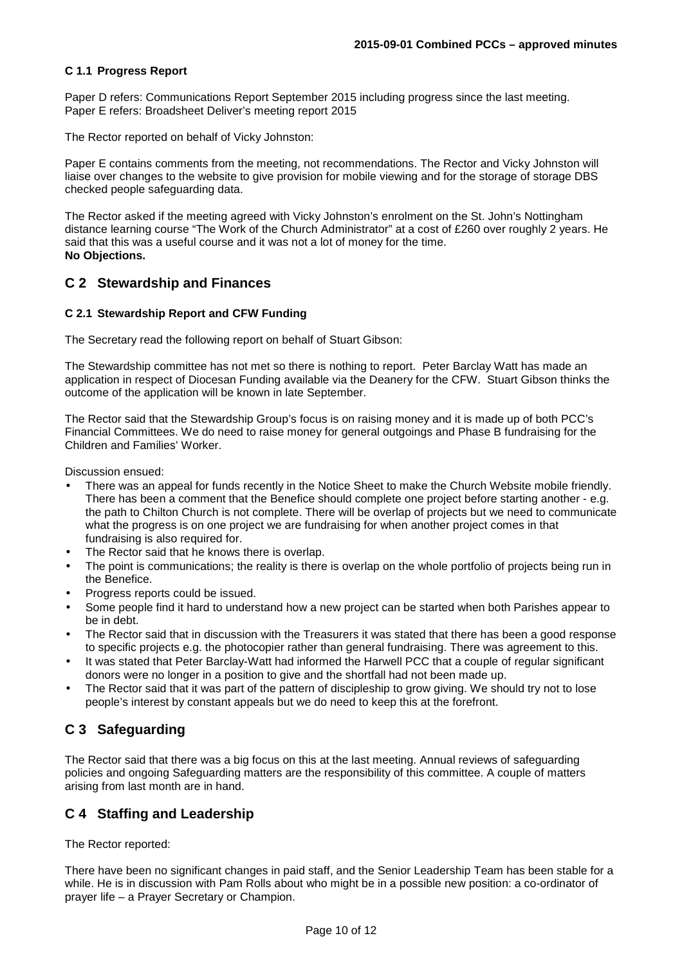### **C 1.1 Progress Report**

Paper D refers: Communications Report September 2015 including progress since the last meeting. Paper E refers: Broadsheet Deliver's meeting report 2015

The Rector reported on behalf of Vicky Johnston:

Paper E contains comments from the meeting, not recommendations. The Rector and Vicky Johnston will liaise over changes to the website to give provision for mobile viewing and for the storage of storage DBS checked people safeguarding data.

The Rector asked if the meeting agreed with Vicky Johnston's enrolment on the St. John's Nottingham distance learning course "The Work of the Church Administrator" at a cost of £260 over roughly 2 years. He said that this was a useful course and it was not a lot of money for the time. **No Objections.** 

### **C 2 Stewardship and Finances**

#### **C 2.1 Stewardship Report and CFW Funding**

The Secretary read the following report on behalf of Stuart Gibson:

The Stewardship committee has not met so there is nothing to report. Peter Barclay Watt has made an application in respect of Diocesan Funding available via the Deanery for the CFW. Stuart Gibson thinks the outcome of the application will be known in late September.

The Rector said that the Stewardship Group's focus is on raising money and it is made up of both PCC's Financial Committees. We do need to raise money for general outgoings and Phase B fundraising for the Children and Families' Worker.

Discussion ensued:

- There was an appeal for funds recently in the Notice Sheet to make the Church Website mobile friendly. There has been a comment that the Benefice should complete one project before starting another - e.g. the path to Chilton Church is not complete. There will be overlap of projects but we need to communicate what the progress is on one project we are fundraising for when another project comes in that fundraising is also required for.
- The Rector said that he knows there is overlap.
- The point is communications; the reality is there is overlap on the whole portfolio of projects being run in the Benefice.
- Progress reports could be issued.
- Some people find it hard to understand how a new project can be started when both Parishes appear to be in debt.
- The Rector said that in discussion with the Treasurers it was stated that there has been a good response to specific projects e.g. the photocopier rather than general fundraising. There was agreement to this.
- It was stated that Peter Barclay-Watt had informed the Harwell PCC that a couple of regular significant donors were no longer in a position to give and the shortfall had not been made up.
- The Rector said that it was part of the pattern of discipleship to grow giving. We should try not to lose people's interest by constant appeals but we do need to keep this at the forefront.

# **C 3 Safeguarding**

The Rector said that there was a big focus on this at the last meeting. Annual reviews of safeguarding policies and ongoing Safeguarding matters are the responsibility of this committee. A couple of matters arising from last month are in hand.

# **C 4 Staffing and Leadership**

The Rector reported:

There have been no significant changes in paid staff, and the Senior Leadership Team has been stable for a while. He is in discussion with Pam Rolls about who might be in a possible new position: a co-ordinator of prayer life – a Prayer Secretary or Champion.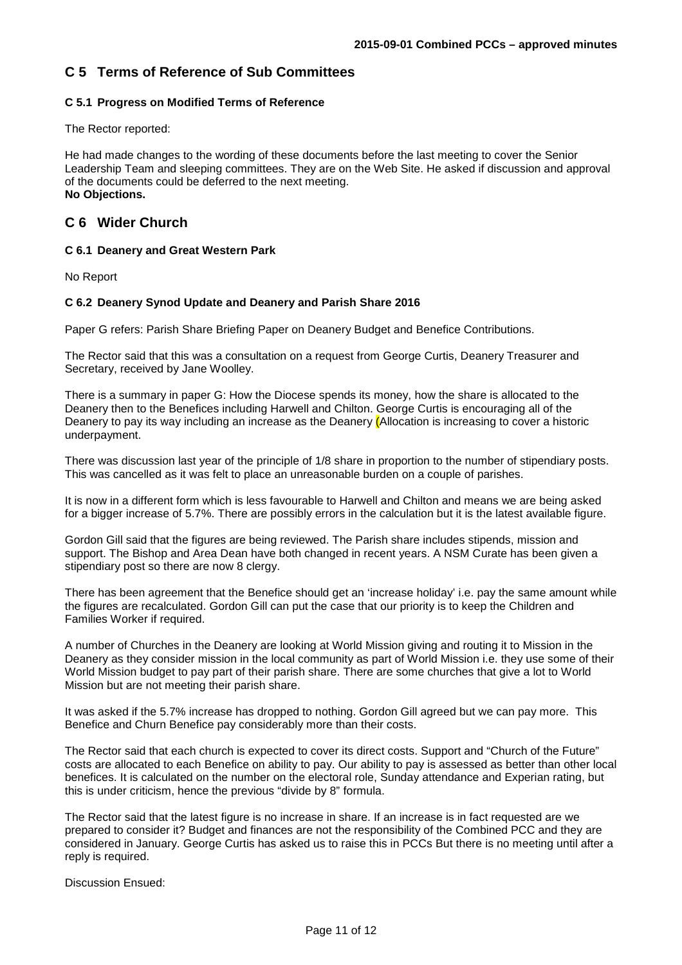# **C 5 Terms of Reference of Sub Committees**

## **C 5.1 Progress on Modified Terms of Reference**

The Rector reported:

He had made changes to the wording of these documents before the last meeting to cover the Senior Leadership Team and sleeping committees. They are on the Web Site. He asked if discussion and approval of the documents could be deferred to the next meeting. **No Objections.** 

# **C 6 Wider Church**

#### **C 6.1 Deanery and Great Western Park**

No Report

#### **C 6.2 Deanery Synod Update and Deanery and Parish Share 2016**

Paper G refers: Parish Share Briefing Paper on Deanery Budget and Benefice Contributions.

The Rector said that this was a consultation on a request from George Curtis, Deanery Treasurer and Secretary, received by Jane Woolley.

There is a summary in paper G: How the Diocese spends its money, how the share is allocated to the Deanery then to the Benefices including Harwell and Chilton. George Curtis is encouraging all of the Deanery to pay its way including an increase as the Deanery (Allocation is increasing to cover a historic underpayment.

There was discussion last year of the principle of 1/8 share in proportion to the number of stipendiary posts. This was cancelled as it was felt to place an unreasonable burden on a couple of parishes.

It is now in a different form which is less favourable to Harwell and Chilton and means we are being asked for a bigger increase of 5.7%. There are possibly errors in the calculation but it is the latest available figure.

Gordon Gill said that the figures are being reviewed. The Parish share includes stipends, mission and support. The Bishop and Area Dean have both changed in recent years. A NSM Curate has been given a stipendiary post so there are now 8 clergy.

There has been agreement that the Benefice should get an 'increase holiday' i.e. pay the same amount while the figures are recalculated. Gordon Gill can put the case that our priority is to keep the Children and Families Worker if required.

A number of Churches in the Deanery are looking at World Mission giving and routing it to Mission in the Deanery as they consider mission in the local community as part of World Mission i.e. they use some of their World Mission budget to pay part of their parish share. There are some churches that give a lot to World Mission but are not meeting their parish share.

It was asked if the 5.7% increase has dropped to nothing. Gordon Gill agreed but we can pay more. This Benefice and Churn Benefice pay considerably more than their costs.

The Rector said that each church is expected to cover its direct costs. Support and "Church of the Future" costs are allocated to each Benefice on ability to pay. Our ability to pay is assessed as better than other local benefices. It is calculated on the number on the electoral role, Sunday attendance and Experian rating, but this is under criticism, hence the previous "divide by 8" formula.

The Rector said that the latest figure is no increase in share. If an increase is in fact requested are we prepared to consider it? Budget and finances are not the responsibility of the Combined PCC and they are considered in January. George Curtis has asked us to raise this in PCCs But there is no meeting until after a reply is required.

Discussion Ensued: